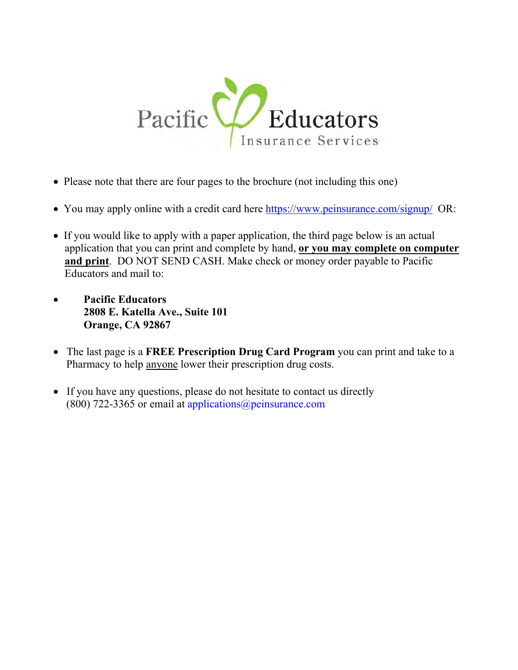

- Please note that there are four pages to the brochure (not including this one)
- You may apply online with a credit card here https://www.peinsurance.com/signup/ OR:
- If you would like to apply with a paper application, the third page below is an actual application that you can print and complete by hand, **or you may complete on computer and print**. DO NOT SEND CASH. Make check or money order payable to Pacific Educators and mail to:
- **Pacific Educators 2808 E. Katella Ave., Suite 101 Orange, CA 92867**
- The last page is a **FREE Prescription Drug Card Program** you can print and take to a Pharmacy to help anyone lower their prescription drug costs.
- If you have any questions, please do not hesitate to contact us directly (800) 722-3365 or email at applications  $@p$  einsurance.com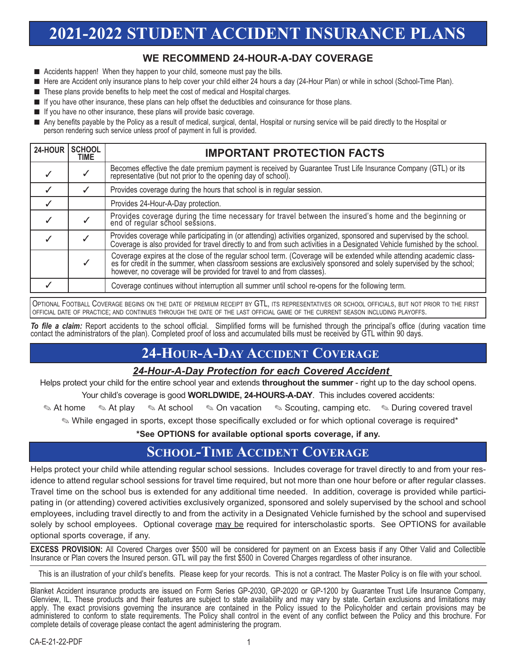# **2021-2022 STUDENT ACCIDENT INSURANCE PLANS**

## **WE RECOMMEND 24-HOUR-A-DAY COVERAGE**

- Accidents happen! When they happen to your child, someone must pay the bills.
- Here are Accident only insurance plans to help cover your child either 24 hours a day (24-Hour Plan) or while in school (School-Time Plan).
- These plans provide benefits to help meet the cost of medical and Hospital charges.
- If you have other insurance, these plans can help offset the deductibles and coinsurance for those plans.
- If you have no other insurance, these plans will provide basic coverage.
- Any benefits payable by the Policy as a result of medical, surgical, dental, Hospital or nursing service will be paid directly to the Hospital or person rendering such service unless proof of payment in full is provided.

| 24-HOUR | <b>SCHOOL</b><br><b>TIME</b> | <b>IMPORTANT PROTECTION FACTS</b>                                                                                                                                                                                                                                                                           |
|---------|------------------------------|-------------------------------------------------------------------------------------------------------------------------------------------------------------------------------------------------------------------------------------------------------------------------------------------------------------|
|         |                              | Becomes effective the date premium payment is received by Guarantee Trust Life Insurance Company (GTL) or its representative (but not prior to the opening day of school).                                                                                                                                  |
|         |                              | Provides coverage during the hours that school is in regular session.                                                                                                                                                                                                                                       |
|         |                              | Provides 24-Hour-A-Day protection.                                                                                                                                                                                                                                                                          |
|         |                              | Provides coverage during the time necessary for travel between the insured's home and the beginning or end of regular school sessions.                                                                                                                                                                      |
|         |                              | Provides coverage while participating in (or attending) activities organized, sponsored and supervised by the school.<br>Coverage is also provided for travel directly to and from such activities in a Designated Vehicle furnished by the school.                                                         |
|         |                              | Coverage expires at the close of the regular school term. (Coverage will be extended while attending academic class-<br>es for credit in the summer, when classroom sessions are exclusively sponsored and solely supervised by t<br>however, no coverage will be provided for travel to and from classes). |
|         |                              | Coverage continues without interruption all summer until school re-opens for the following term.                                                                                                                                                                                                            |

OPTIONAL FOOTBALL COVERAGE BEGINS ON THE DATE OF PREMIUM RECEIPT BY GTL, ITS REPRESENTATIVES OR SCHOOL OFFICIALS, BUT NOT PRIOR TO THE FIRST OFFICIAL DATE OF PRACTICE; AND CONTINUES THROUGH THE DATE OF THE LAST OFFICIAL GAME OF THE CURRENT SEASON INCLUDING PLAYOFFS.

*To file a claim:* Report accidents to the school official. Simplified forms will be furnished through the principal's office (during vacation time contact the administrators of the plan). Completed proof of loss and accumulated bills must be received by GTL within 90 days.

# **24-HOUR-A-DAY ACCIDENT COVERAGE**

#### *24-Hour-A-Day Protection for each Covered Accident*

Helps protect your child for the entire school year and extends **throughout the summer** - right up to the day school opens. Your child's coverage is good **WORLDWIDE, 24-HOURS-A-DAY**. This includes covered accidents:

✎ At home ✎ At play ✎ At school ✎ On vacation ✎ Scouting, camping etc. ✎ During covered travel

✎ While engaged in sports, except those specifically excluded or for which optional coverage is required\*

**\*See OPTIONS for available optional sports coverage, if any.**

## **SCHOOL-TIME ACCIDENT COVERAGE**

Helps protect your child while attending regular school sessions. Includes coverage for travel directly to and from your residence to attend regular school sessions for travel time required, but not more than one hour before or after regular classes. Travel time on the school bus is extended for any additional time needed. In addition, coverage is provided while participating in (or attending) covered activities exclusively organized, sponsored and solely supervised by the school and school employees, including travel directly to and from the activity in a Designated Vehicle furnished by the school and supervised solely by school employees. Optional coverage may be required for interscholastic sports. See OPTIONS for available optional sports coverage, if any.

**EXCESS PROVISION:** All Covered Charges over \$500 will be considered for payment on an Excess basis if any Other Valid and Collectible Insurance or Plan covers the Insured person. GTL will pay the first \$500 in Covered Charges regardless of other insurance.

This is an illustration of your child's benefits. Please keep for your records. This is not a contract. The Master Policy is on file with your school.

Blanket Accident insurance products are issued on Form Series GP-2030, GP-2020 or GP-1200 by Guarantee Trust Life Insurance Company, Glenview, IL. These products and their features are subject to state availability and may vary by state. Certain exclusions and limitations may apply. The exact provisions governing the insurance are contained in the Policy issued to the Policyholder and certain provisions may be administered to conform to state requirements. The Policy shall control in the event of any conflict between the Policy and this brochure. For complete details of coverage please contact the agent administering the program.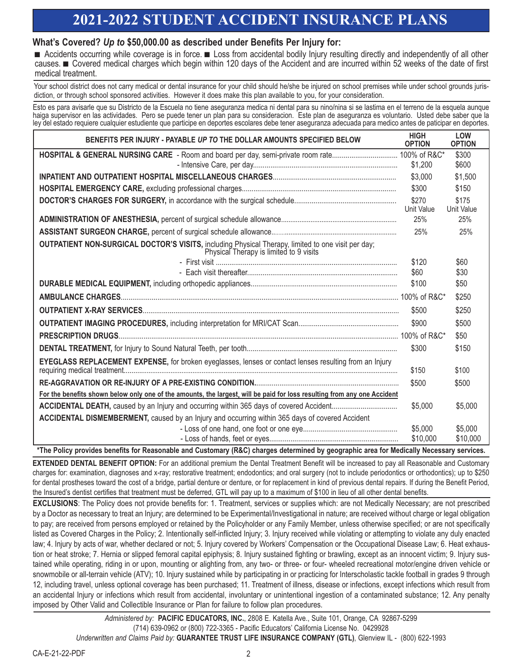# **2021-2022 STUDENT ACCIDENT INSURANCE PLANS**

### **What's Covered?** *Up to* **\$50,000.00 as described under Benefits Per Injury for:**

■ Accidents occurring while coverage is in force. ■ Loss from accidental bodily Injury resulting directly and independently of all other causes. ■ Covered medical charges which begin within 120 days of the Accident and are incurred within 52 weeks of the date of first medical treatment.

Your school district does not carry medical or dental insurance for your child should he/she be injured on school premises while under school grounds jurisdiction, or through school sponsored activities. However it does make this plan available to you, for your consideration.

Esto es para avisarle que su Districto de la Escuela no tiene aseguranza medica ni dental para su nino/nina si se lastima en el terreno de la esquela aunque haiga supervisor en las actividades. Pero se puede tener un plan para su consideracion. Este plan de aseguranza es voluntario. Usted debe saber que la ley del estado requiere cualquier estudiente que participe en deportes escolares debe tener aseguranza adecuada para medico antes de paticipar en deportes.

| BENEFITS PER INJURY - PAYABLE UP TO THE DOLLAR AMOUNTS SPECIFIED BELOW                                                                        | <b>HIGH</b><br><b>OPTION</b> | <b>LOW</b><br><b>OPTION</b> |  |  |  |  |
|-----------------------------------------------------------------------------------------------------------------------------------------------|------------------------------|-----------------------------|--|--|--|--|
| HOSPITAL & GENERAL NURSING CARE - Room and board per day, semi-private room rate 100% of R&C*                                                 |                              | \$300                       |  |  |  |  |
|                                                                                                                                               | \$1,200                      | \$600                       |  |  |  |  |
|                                                                                                                                               | \$3,000                      | \$1,500                     |  |  |  |  |
|                                                                                                                                               | \$300                        | \$150                       |  |  |  |  |
|                                                                                                                                               | \$270<br>Unit Value          | \$175<br>Unit Value         |  |  |  |  |
|                                                                                                                                               | 25%                          | 25%                         |  |  |  |  |
|                                                                                                                                               | 25%                          | 25%                         |  |  |  |  |
| OUTPATIENT NON-SURGICAL DOCTOR'S VISITS, including Physical Therapy, limited to one visit per day;<br>Physical Therapy is limited to 9 visits |                              |                             |  |  |  |  |
|                                                                                                                                               | \$120                        | \$60                        |  |  |  |  |
|                                                                                                                                               | \$60                         | \$30                        |  |  |  |  |
|                                                                                                                                               | \$100                        | \$50                        |  |  |  |  |
|                                                                                                                                               |                              | \$250                       |  |  |  |  |
|                                                                                                                                               | \$500                        | \$250                       |  |  |  |  |
|                                                                                                                                               | \$900                        | \$500                       |  |  |  |  |
|                                                                                                                                               |                              | \$50                        |  |  |  |  |
|                                                                                                                                               | \$300                        | \$150                       |  |  |  |  |
| EYEGLASS REPLACEMENT EXPENSE, for broken eyeglasses, lenses or contact lenses resulting from an Injury                                        | \$150                        | \$100                       |  |  |  |  |
|                                                                                                                                               | \$500                        | \$500                       |  |  |  |  |
| For the benefits shown below only one of the amounts, the largest, will be paid for loss resulting from any one Accident                      |                              |                             |  |  |  |  |
|                                                                                                                                               | \$5,000                      | \$5,000                     |  |  |  |  |
| ACCIDENTAL DISMEMBERMENT, caused by an Injury and occurring within 365 days of covered Accident                                               |                              |                             |  |  |  |  |
|                                                                                                                                               | \$5,000                      | \$5,000                     |  |  |  |  |
| $\bullet$ The Belles accepted to a Chefferd considered Acchaeol (BAA) decays defended to account the sea from deally the News                 | \$10,000                     | \$10,000                    |  |  |  |  |

**\*The Policy provides benefits for Reasonable and Customary (R&C) charges determined by geographic area for Medically Necessary services.**

**EXTENDED DENTAL BENEFIT OPTION:** For an additional premium the Dental Treatment Benefit will be increased to pay all Reasonable and Customary charges for: examination, diagnoses and x-ray; restorative treatment; endodontics; and oral surgery (not to include periodontics or orthodontics); up to \$250 for dental prostheses toward the cost of a bridge, partial denture or denture, or for replacement in kind of previous dental repairs. If during the Benefit Period, the Insured's dentist certifies that treatment must be deferred, GTL will pay up to a maximum of \$100 in lieu of all other dental benefits.

**EXCLUSIONS**: The Policy does not provide benefits for: 1. Treatment, services or supplies which: are not Medically Necessary; are not prescribed by a Doctor as necessary to treat an Injury; are determined to be Experimental/Investigational in nature; are received without charge or legal obligation to pay; are received from persons employed or retained by the Policyholder or any Family Member, unless otherwise specified; or are not specifically listed as Covered Charges in the Policy; 2. Intentionally self-inflicted Injury; 3. Injury received while violating or attempting to violate any duly enacted law; 4. Injury by acts of war, whether declared or not; 5. Injury covered by Workers' Compensation or the Occupational Disease Law; 6. Heat exhaustion or heat stroke; 7. Hernia or slipped femoral capital epiphysis; 8. Injury sustained fighting or brawling, except as an innocent victim; 9. Injury sustained while operating, riding in or upon, mounting or alighting from, any two- or three- or four- wheeled recreational motor/engine driven vehicle or snowmobile or all-terrain vehicle (ATV); 10. Injury sustained while by participating in or practicing for Interscholastic tackle football in grades 9 through 12, including travel, unless optional coverage has been purchased; 11. Treatment of illness, disease or infections, except infections which result from an accidental Injury or infections which result from accidental, involuntary or unintentional ingestion of a contaminated substance; 12. Any penalty imposed by Other Valid and Collectible Insurance or Plan for failure to follow plan procedures.

*Administered by:* **PACIFIC EDUCATORS, INC.**, 2808 E. Katella Ave., Suite 101, Orange, CA 92867-5299 (714) 639-0962 or (800) 722-3365 - Pacific Educators' California License No. 0429928 *Underwritten and Claims Paid by:* **GUARANTEE TRUST LIFE INSURANCE COMPANY (GTL)**, Glenview IL - (800) 622-1993